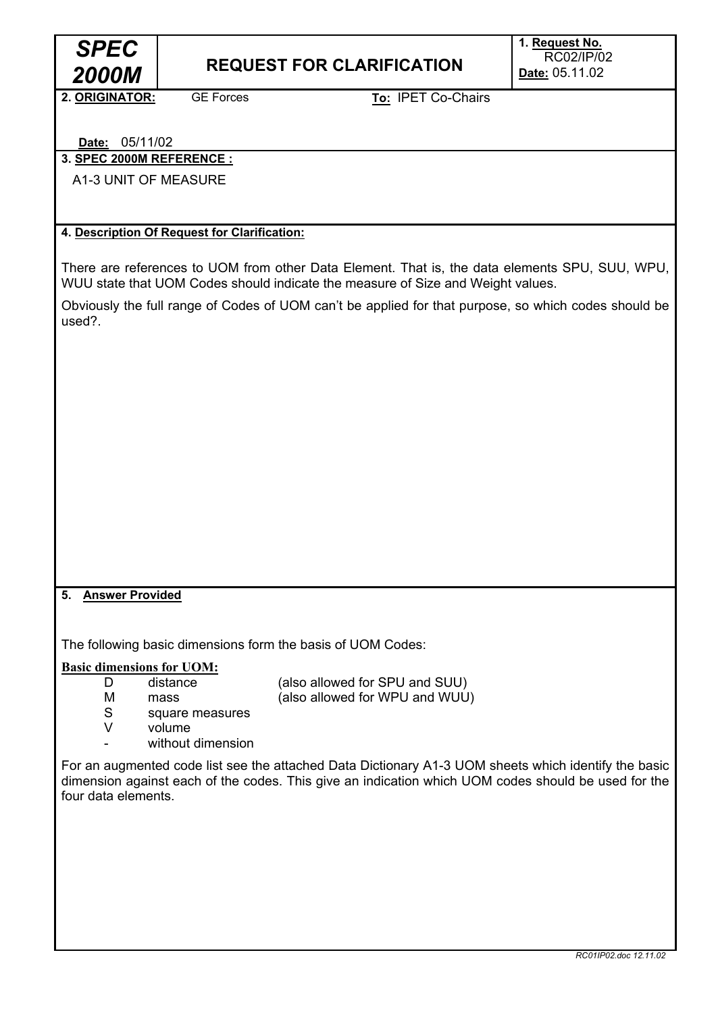

# **2000M** REQUEST FOR CLARIFICATION

**1. Request No.**  RC02/IP/02 **Date:** 05.11.02

**2. ORIGINATOR:** GE Forces

**To:** IPET Co-Chairs

# **Date:** 05/11/02

**3. SPEC 2000M REFERENCE :** 

A1-3 UNIT OF MEASURE

#### **4. Description Of Request for Clarification:**

There are references to UOM from other Data Element. That is, the data elements SPU, SUU, WPU, WUU state that UOM Codes should indicate the measure of Size and Weight values.

Obviously the full range of Codes of UOM can't be applied for that purpose, so which codes should be used?.

# **5. Answer Provided**

The following basic dimensions form the basis of UOM Codes:

**Basic dimensions for UOM:**

D distance (also allowed for SPU and SUU)

- 
- M mass (also allowed for WPU and WUU)
- S square measures
- V volume
- without dimension

For an augmented code list see the attached Data Dictionary A1-3 UOM sheets which identify the basic dimension against each of the codes. This give an indication which UOM codes should be used for the four data elements.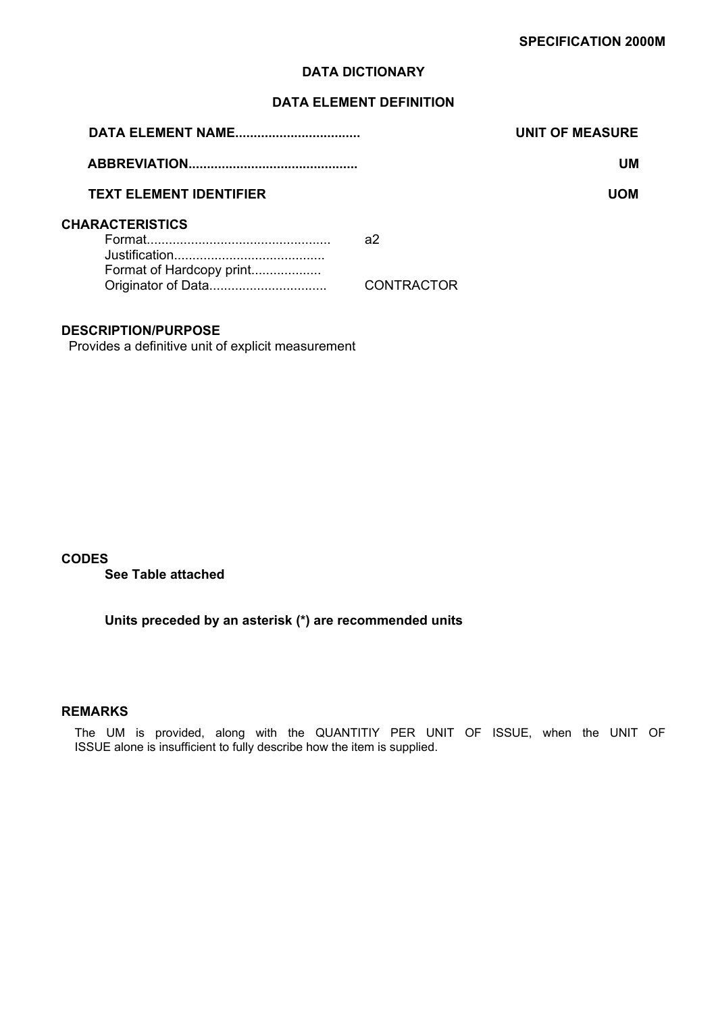# **DATA ELEMENT DEFINITION**

| <b>DATA ELEMENT NAME</b>       | <b>UNIT OF MEASURE</b> |
|--------------------------------|------------------------|
|                                | UМ                     |
| <b>TEXT ELEMENT IDENTIFIER</b> | UOM                    |
| <b>CHARACTERISTICS</b>         | a2                     |
| Format of Hardcopy print       | <b>CONTRACTOR</b>      |

## **DESCRIPTION/PURPOSE**

Provides a definitive unit of explicit measurement

#### **CODES**

**See Table attached** 

**Units preceded by an asterisk (\*) are recommended units** 

#### **REMARKS**

The UM is provided, along with the QUANTITIY PER UNIT OF ISSUE, when the UNIT OF ISSUE alone is insufficient to fully describe how the item is supplied.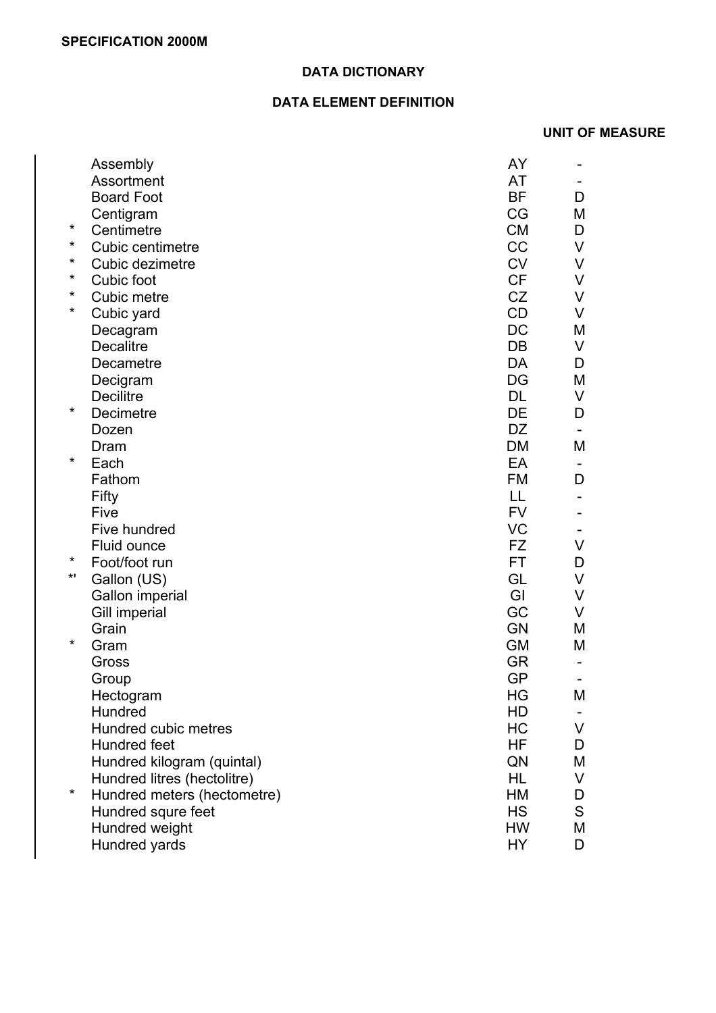# **DATA ELEMENT DEFINITION**

# **UNIT OF MEASURE**

|          | Assembly                    | AY        |   |
|----------|-----------------------------|-----------|---|
|          | Assortment                  | <b>AT</b> |   |
|          | <b>Board Foot</b>           | <b>BF</b> | D |
|          | Centigram                   | CG        | М |
| $\star$  | Centimetre                  | <b>CM</b> | D |
| $\star$  | Cubic centimetre            | CC        | V |
| *        | Cubic dezimetre             | <b>CV</b> | V |
| *        | Cubic foot                  | <b>CF</b> | V |
| *        | Cubic metre                 | CZ        | V |
| $\star$  | Cubic yard                  | CD        | V |
|          | Decagram                    | DC        | М |
|          | <b>Decalitre</b>            | DB        | V |
|          | Decametre                   | DA        | D |
|          | Decigram                    | DG        | М |
|          | <b>Decilitre</b>            | <b>DL</b> | V |
| $\star$  | Decimetre                   | DE        | D |
|          | Dozen                       | <b>DZ</b> |   |
|          | Dram                        | <b>DM</b> | М |
| $\star$  | Each                        | EA        |   |
|          | Fathom                      | <b>FM</b> | D |
|          | Fifty                       | LL        |   |
|          | Five                        | <b>FV</b> |   |
|          | Five hundred                | <b>VC</b> |   |
|          | Fluid ounce                 | FZ        | V |
| $\star$  | Foot/foot run               | FT.       | D |
| $\star$  | Gallon (US)                 | GL        | V |
|          | Gallon imperial             | GI        | V |
|          | Gill imperial               | GC        | V |
|          | Grain                       | <b>GN</b> | M |
| $\star$  | Gram                        | <b>GM</b> | M |
|          | Gross                       | <b>GR</b> |   |
|          | Group                       | <b>GP</b> |   |
|          | Hectogram                   | HG        | M |
|          | Hundred                     | HD        |   |
|          | Hundred cubic metres        | HC        | V |
|          | Hundred feet                | HF.       | D |
|          | Hundred kilogram (quintal)  | QN        | Μ |
|          | Hundred litres (hectolitre) | HL.       | V |
| $^\star$ | Hundred meters (hectometre) | HM        | D |
|          | Hundred squre feet          | <b>HS</b> | S |
|          | Hundred weight              | <b>HW</b> | M |
|          | Hundred yards               | HY        | D |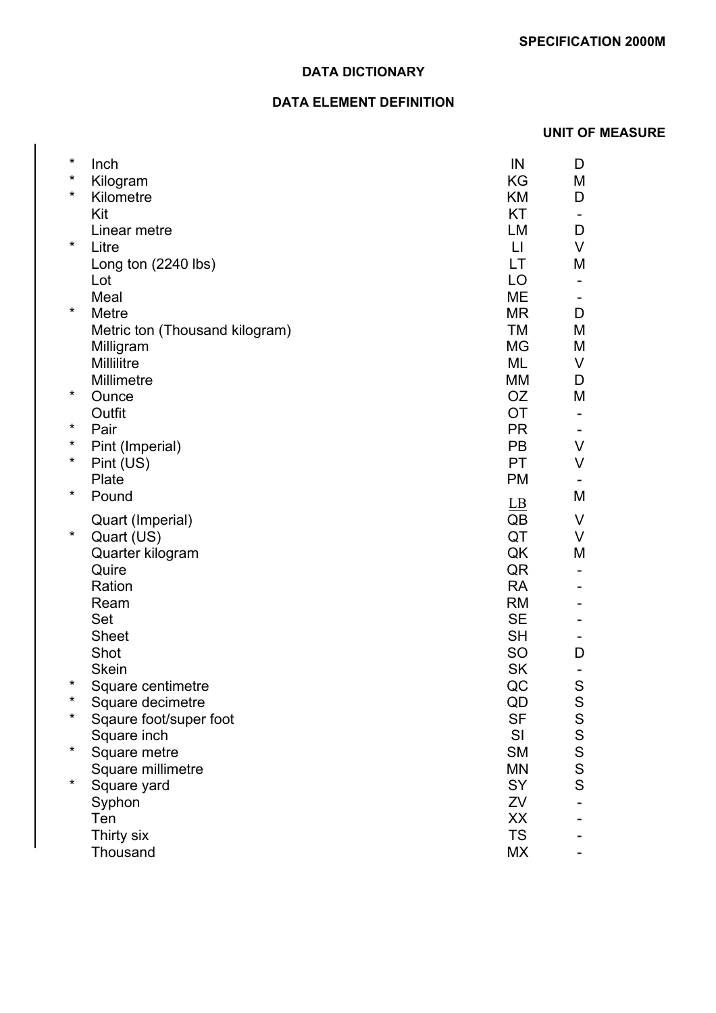# **DATA ELEMENT DEFINITION**

# **UNIT OF MEASURE**

| $\ast$   | Inch                           | IN               | D                                                                                                                       |
|----------|--------------------------------|------------------|-------------------------------------------------------------------------------------------------------------------------|
| $\star$  | Kilogram                       | KG               | М                                                                                                                       |
| $\star$  | Kilometre                      | KM               | D                                                                                                                       |
|          | Kit                            | <b>KT</b>        |                                                                                                                         |
|          | Linear metre                   | LM               | D                                                                                                                       |
| $\star$  | Litre                          | $\mathsf{L}$     | V                                                                                                                       |
|          | Long ton (2240 lbs)            | <b>LT</b>        | M                                                                                                                       |
|          | Lot                            | LO               |                                                                                                                         |
|          | Meal                           | <b>ME</b>        |                                                                                                                         |
| $\star$  | Metre                          | <b>MR</b>        | D                                                                                                                       |
|          | Metric ton (Thousand kilogram) | <b>TM</b>        | M                                                                                                                       |
|          | Milligram                      | <b>MG</b>        | M                                                                                                                       |
|          | Millilitre                     | ML               | V                                                                                                                       |
|          | Millimetre                     | MM               | D                                                                                                                       |
| $\star$  | Ounce                          | <b>OZ</b>        | M                                                                                                                       |
|          | Outfit                         | <b>OT</b>        |                                                                                                                         |
| *        | Pair                           | <b>PR</b>        |                                                                                                                         |
| $\star$  | Pint (Imperial)                | <b>PB</b>        | V                                                                                                                       |
| $^\star$ | Pint (US)                      | <b>PT</b>        | V                                                                                                                       |
| $\ast$   | Plate                          | <b>PM</b>        |                                                                                                                         |
|          | Pound                          | $\underline{LB}$ | M                                                                                                                       |
|          | Quart (Imperial)               | QB               | V                                                                                                                       |
| $\ast$   | Quart (US)                     | QT               | V                                                                                                                       |
|          | Quarter kilogram               | QK               | M                                                                                                                       |
|          | Quire                          | QR               |                                                                                                                         |
|          | Ration                         | <b>RA</b>        |                                                                                                                         |
|          | Ream                           | <b>RM</b>        |                                                                                                                         |
|          | Set                            | <b>SE</b>        |                                                                                                                         |
|          | <b>Sheet</b>                   | <b>SH</b>        |                                                                                                                         |
|          | Shot                           | <b>SO</b>        | D                                                                                                                       |
|          | <b>Skein</b>                   | <b>SK</b>        |                                                                                                                         |
| $\star$  | Square centimetre              | QC               | S                                                                                                                       |
| *        | Square decimetre               | QD               |                                                                                                                         |
| *        | Sqaure foot/super foot         | <b>SF</b>        |                                                                                                                         |
|          | Square inch                    | SI               | S<br>S<br>S<br>S<br>S<br>S<br>S<br>S<br>S<br>S<br>S<br><br><br><br><br><br><br><br><br><br><br><br><br><br><br><br><br> |
| $\star$  | Square metre                   | <b>SM</b>        |                                                                                                                         |
|          | Square millimetre              | <b>MN</b>        |                                                                                                                         |
| $\ast$   | Square yard                    | SY               |                                                                                                                         |
|          | Syphon                         | ZV               |                                                                                                                         |
|          | Ten                            | XX               |                                                                                                                         |
|          | Thirty six                     | <b>TS</b>        |                                                                                                                         |
|          | Thousand                       | МX               |                                                                                                                         |